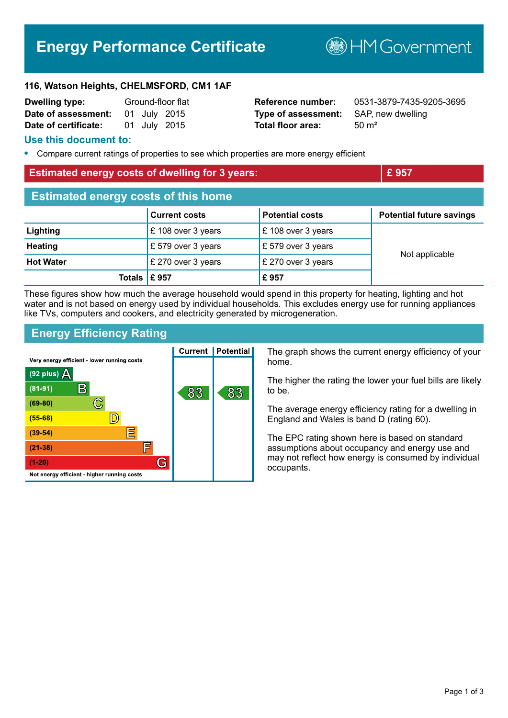# **Energy Performance Certificate**

**B**HMGovernment

#### **116, Watson Heights, CHELMSFORD, CM1 1AF**

| <b>Dwelling type:</b> | Ground-floor flat |  |              |
|-----------------------|-------------------|--|--------------|
| Date of assessment:   |                   |  | 01 July 2015 |
| Date of certificate:  |                   |  | 01 July 2015 |

**Type of assessment:** SAP, new dwelling **Total floor area:** 50 m<sup>2</sup>

**Reference number:** 0531-3879-7435-9205-3695

#### **Use this document to:**

**•** Compare current ratings of properties to see which properties are more energy efficient

#### **Estimated energy costs of dwelling for 3 years: EXECUTE:**  $\mathbf{E}$  957

| <b>Estimated energy costs of this home</b> |                      |                        |                                 |  |
|--------------------------------------------|----------------------|------------------------|---------------------------------|--|
|                                            | <b>Current costs</b> | <b>Potential costs</b> | <b>Potential future savings</b> |  |
| Lighting                                   | £108 over 3 years    | £108 over 3 years      | Not applicable                  |  |
| <b>Heating</b>                             | £ 579 over 3 years   | £579 over 3 years      |                                 |  |
| <b>Hot Water</b>                           | £ 270 over 3 years   | £ 270 over 3 years     |                                 |  |
| Totals $\mathsf E$ 957                     |                      | £957                   |                                 |  |

These figures show how much the average household would spend in this property for heating, lighting and hot water and is not based on energy used by individual households. This excludes energy use for running appliances like TVs, computers and cookers, and electricity generated by microgeneration.

# **Energy Efficiency Rating**

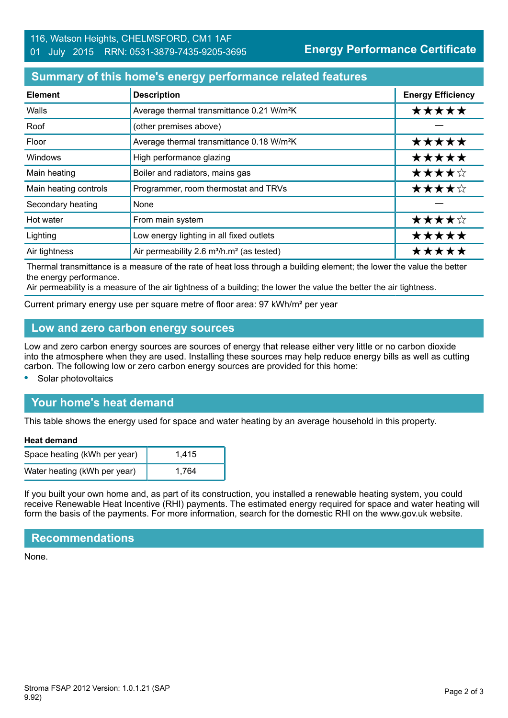# **Summary of this home's energy performance related features**

| <b>Element</b>        | <b>Description</b>                                                | <b>Energy Efficiency</b> |
|-----------------------|-------------------------------------------------------------------|--------------------------|
| Walls                 | Average thermal transmittance 0.21 W/m <sup>2</sup> K             | *****                    |
| Roof                  | (other premises above)                                            |                          |
| Floor                 | Average thermal transmittance 0.18 W/m <sup>2</sup> K             | *****                    |
| Windows               | High performance glazing                                          | *****                    |
| Main heating          | Boiler and radiators, mains gas                                   | ★★★★☆                    |
| Main heating controls | Programmer, room thermostat and TRVs                              | ★★★★☆                    |
| Secondary heating     | None                                                              |                          |
| Hot water             | From main system                                                  | ★★★★☆                    |
| Lighting              | Low energy lighting in all fixed outlets                          | *****                    |
| Air tightness         | Air permeability 2.6 m <sup>3</sup> /h.m <sup>2</sup> (as tested) | *****                    |

Thermal transmittance is a measure of the rate of heat loss through a building element; the lower the value the better the energy performance.

Air permeability is a measure of the air tightness of a building; the lower the value the better the air tightness.

Current primary energy use per square metre of floor area: 97 kWh/m² per year

# **Low and zero carbon energy sources**

Low and zero carbon energy sources are sources of energy that release either very little or no carbon dioxide into the atmosphere when they are used. Installing these sources may help reduce energy bills as well as cutting carbon. The following low or zero carbon energy sources are provided for this home:

**•** Solar photovoltaics

# **Your home's heat demand**

This table shows the energy used for space and water heating by an average household in this property.

#### **Heat demand**

| Space heating (kWh per year) | 1.415 |
|------------------------------|-------|
| Water heating (kWh per year) | 1.764 |

If you built your own home and, as part of its construction, you installed a renewable heating system, you could receive Renewable Heat Incentive (RHI) payments. The estimated energy required for space and water heating will form the basis of the payments. For more information, search for the domestic RHI on the www.gov.uk website.

#### **Recommendations**

None.